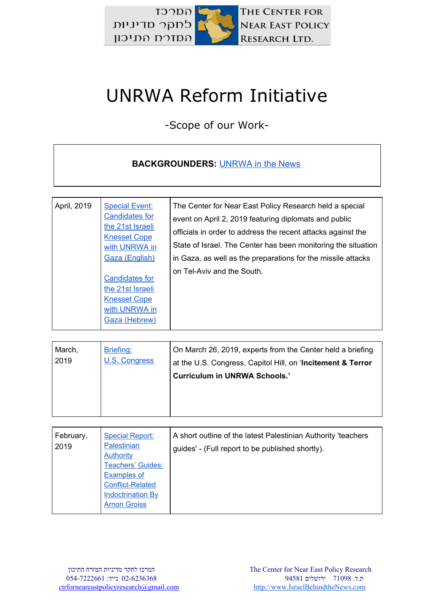

## UNRWA Reform Initiative

-Scope of our Work-

## **BACKGROUNDERS:** [UNRWA in the News](http://israelbehindthenews.com/?s=unrwa)

| March,<br>Briefing:<br>U.S. Congress<br>2019 | On March 26, 2019, experts from the Center held a briefing<br>at the U.S. Congress, Capitol Hill, on 'Incitement & Terror<br><b>Curriculum in UNRWA Schools.'</b> |
|----------------------------------------------|-------------------------------------------------------------------------------------------------------------------------------------------------------------------|
|----------------------------------------------|-------------------------------------------------------------------------------------------------------------------------------------------------------------------|

| February,<br><b>Special Report:</b><br><b>Palestinian</b><br>2019<br><b>Authority</b><br><b>Teachers' Guides:</b><br><b>Examples of</b><br><b>Conflict-Related</b><br><b>Indoctrination By</b><br><b>Arnon Groiss</b> | A short outline of the latest Palestinian Authority 'teachers<br>guides' - (Full report to be published shortly). |
|-----------------------------------------------------------------------------------------------------------------------------------------------------------------------------------------------------------------------|-------------------------------------------------------------------------------------------------------------------|
|-----------------------------------------------------------------------------------------------------------------------------------------------------------------------------------------------------------------------|-------------------------------------------------------------------------------------------------------------------|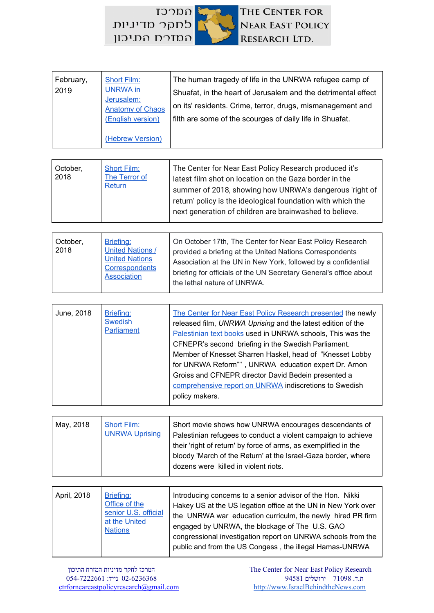

| February,<br>2019 | <b>Short Film:</b><br><b>UNRWA</b> in<br>Jerusalem:<br><b>Anatomy of Chaos</b><br>(English version) | The human tragedy of life in the UNRWA refugee camp of<br>Shuafat, in the heart of Jerusalem and the detrimental effect<br>on its' residents. Crime, terror, drugs, mismanagement and<br>filth are some of the scourges of daily life in Shuafat. |
|-------------------|-----------------------------------------------------------------------------------------------------|---------------------------------------------------------------------------------------------------------------------------------------------------------------------------------------------------------------------------------------------------|
|                   | (Hebrew Version)                                                                                    |                                                                                                                                                                                                                                                   |

| The Center for Near East Policy Research produced it's<br><b>Short Film:</b><br>October,<br>2018<br>The Terror of<br>latest film shot on location on the Gaza border in the<br><b>Return</b><br>summer of 2018, showing how UNRWA's dangerous 'right of<br>return' policy is the ideological foundation with which the<br>next generation of children are brainwashed to believe. |
|-----------------------------------------------------------------------------------------------------------------------------------------------------------------------------------------------------------------------------------------------------------------------------------------------------------------------------------------------------------------------------------|
|-----------------------------------------------------------------------------------------------------------------------------------------------------------------------------------------------------------------------------------------------------------------------------------------------------------------------------------------------------------------------------------|

| October,<br>2018 | Briefing:<br><b>United Nations /</b><br><b>United Nations</b><br>Correspondents<br><b>Association</b> | On October 17th, The Center for Near East Policy Research<br>provided a briefing at the United Nations Correspondents<br>Association at the UN in New York, followed by a confidential<br>briefing for officials of the UN Secretary General's office about<br>the lethal nature of UNRWA. |
|------------------|-------------------------------------------------------------------------------------------------------|--------------------------------------------------------------------------------------------------------------------------------------------------------------------------------------------------------------------------------------------------------------------------------------------|
|------------------|-------------------------------------------------------------------------------------------------------|--------------------------------------------------------------------------------------------------------------------------------------------------------------------------------------------------------------------------------------------------------------------------------------------|

| May, 2018 | Short Film:<br><b>UNRWA Uprising</b> | Short movie shows how UNRWA encourages descendants of<br>Palestinian refugees to conduct a violent campaign to achieve<br>their 'right of return' by force of arms, as exemplified in the |
|-----------|--------------------------------------|-------------------------------------------------------------------------------------------------------------------------------------------------------------------------------------------|
|           |                                      | bloody 'March of the Return' at the Israel-Gaza border, where<br>dozens were killed in violent riots.                                                                                     |

| April, 2018 | Briefing:<br>Office of the<br>senior U.S. official<br>at the United<br><b>Nations</b> | Introducing concerns to a senior advisor of the Hon. Nikki<br>Hakey US at the US legation office at the UN in New York over<br>the UNRWA war education curriculm, the newly hired PR firm<br>engaged by UNRWA, the blockage of The U.S. GAO<br>congressional investigation report on UNRWA schools from the<br>public and from the US Congess, the illegal Hamas-UNRWA |
|-------------|---------------------------------------------------------------------------------------|------------------------------------------------------------------------------------------------------------------------------------------------------------------------------------------------------------------------------------------------------------------------------------------------------------------------------------------------------------------------|
|-------------|---------------------------------------------------------------------------------------|------------------------------------------------------------------------------------------------------------------------------------------------------------------------------------------------------------------------------------------------------------------------------------------------------------------------------------------------------------------------|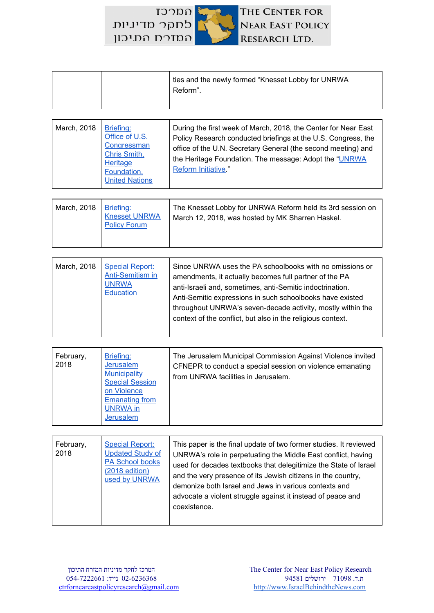$TOTC$ THE CENTER FOR לחקר מדיניות **NEAR EAST POLICY** המזרח התיכון RESEARCH LTD.

|  | I ties and the newly formed "Knesset Lobby for UNRWA<br>Reform". |
|--|------------------------------------------------------------------|
|  |                                                                  |

| March, 2018 | Briefing:<br>Office of U.S.<br>Congressman<br>Chris Smith,<br><b>Heritage</b><br>Foundation,<br><b>United Nations</b> | During the first week of March, 2018, the Center for Near East<br>Policy Research conducted briefings at the U.S. Congress, the<br>office of the U.N. Secretary General (the second meeting) and<br>the Heritage Foundation. The message: Adopt the "UNRWA<br>Reform Initiative." |
|-------------|-----------------------------------------------------------------------------------------------------------------------|-----------------------------------------------------------------------------------------------------------------------------------------------------------------------------------------------------------------------------------------------------------------------------------|
|-------------|-----------------------------------------------------------------------------------------------------------------------|-----------------------------------------------------------------------------------------------------------------------------------------------------------------------------------------------------------------------------------------------------------------------------------|

| March, 2018   Briefing: | <b>Knesset UNRWA</b><br><b>Policy Forum</b> | The Knesset Lobby for UNRWA Reform held its 3rd session on<br>March 12, 2018, was hosted by MK Sharren Haskel. |
|-------------------------|---------------------------------------------|----------------------------------------------------------------------------------------------------------------|
|                         |                                             |                                                                                                                |

| March, 2018<br><b>Special Report:</b><br><b>Anti-Semitism in</b><br><b>UNRWA</b><br>Education | Since UNRWA uses the PA schoolbooks with no omissions or<br>amendments, it actually becomes full partner of the PA<br>anti-Israeli and, sometimes, anti-Semitic indoctrination.<br>Anti-Semitic expressions in such schoolbooks have existed<br>throughout UNRWA's seven-decade activity, mostly within the<br>context of the conflict, but also in the religious context. |
|-----------------------------------------------------------------------------------------------|----------------------------------------------------------------------------------------------------------------------------------------------------------------------------------------------------------------------------------------------------------------------------------------------------------------------------------------------------------------------------|
|-----------------------------------------------------------------------------------------------|----------------------------------------------------------------------------------------------------------------------------------------------------------------------------------------------------------------------------------------------------------------------------------------------------------------------------------------------------------------------------|

| Briefing:<br>February,<br>2018<br>Jerusalem<br><b>Municipality</b><br><b>Special Session</b><br>on Violence<br><b>Emanating from</b><br><b>UNRWA</b> in<br><b>Jerusalem</b> | The Jerusalem Municipal Commission Against Violence invited<br>CFNEPR to conduct a special session on violence emanating<br>from UNRWA facilities in Jerusalem. |
|-----------------------------------------------------------------------------------------------------------------------------------------------------------------------------|-----------------------------------------------------------------------------------------------------------------------------------------------------------------|
|-----------------------------------------------------------------------------------------------------------------------------------------------------------------------------|-----------------------------------------------------------------------------------------------------------------------------------------------------------------|

| February,<br>2018 | <b>Special Report:</b><br><b>Updated Study of</b><br><b>PA School books</b><br>(2018 edition)<br>used by UNRWA | This paper is the final update of two former studies. It reviewed<br>UNRWA's role in perpetuating the Middle East conflict, having<br>used for decades textbooks that delegitimize the State of Israel<br>and the very presence of its Jewish citizens in the country,<br>demonize both Israel and Jews in various contexts and<br>advocate a violent struggle against it instead of peace and<br>coexistence. |
|-------------------|----------------------------------------------------------------------------------------------------------------|----------------------------------------------------------------------------------------------------------------------------------------------------------------------------------------------------------------------------------------------------------------------------------------------------------------------------------------------------------------------------------------------------------------|
|                   |                                                                                                                |                                                                                                                                                                                                                                                                                                                                                                                                                |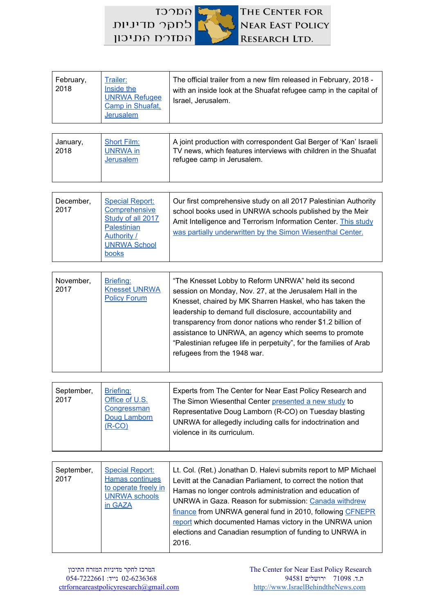

| February,<br>2018 | Trailer:<br>Inside the<br><b>UNRWA Refugee</b><br>Camp in Shuafat,<br><b>Jerusalem</b>                                                          | The official trailer from a new film released in February, 2018 -<br>with an inside look at the Shuafat refugee camp in the capital of<br>Israel, Jerusalem.                                                                                                |
|-------------------|-------------------------------------------------------------------------------------------------------------------------------------------------|-------------------------------------------------------------------------------------------------------------------------------------------------------------------------------------------------------------------------------------------------------------|
|                   |                                                                                                                                                 |                                                                                                                                                                                                                                                             |
| January,<br>2018  | <b>Short Film:</b><br>UNRWA in<br><b>Jerusalem</b>                                                                                              | A joint production with correspondent Gal Berger of 'Kan' Israeli<br>TV news, which features interviews with children in the Shuafat<br>refugee camp in Jerusalem.                                                                                          |
|                   |                                                                                                                                                 |                                                                                                                                                                                                                                                             |
| December,<br>2017 | <b>Special Report:</b><br><b>Comprehensive</b><br>Study of all 2017<br><b>Palestinian</b><br>Authority /<br><b>UNRWA School</b><br><u>books</u> | Our first comprehensive study on all 2017 Palestinian Authority<br>school books used in UNRWA schools published by the Meir<br>Amit Intelligence and Terrorism Information Center. This study<br>was partially underwritten by the Simon Wiesenthal Center. |

| Briefing:<br>November,<br><b>Knesset UNRWA</b><br>2017<br><b>Policy Forum</b> | "The Knesset Lobby to Reform UNRWA" held its second<br>session on Monday, Nov. 27, at the Jerusalem Hall in the<br>Knesset, chaired by MK Sharren Haskel, who has taken the<br>leadership to demand full disclosure, accountability and<br>transparency from donor nations who render \$1.2 billion of<br>assistance to UNRWA, an agency which seems to promote<br>"Palestinian refugee life in perpetuity", for the families of Arab<br>refugees from the 1948 war. |
|-------------------------------------------------------------------------------|----------------------------------------------------------------------------------------------------------------------------------------------------------------------------------------------------------------------------------------------------------------------------------------------------------------------------------------------------------------------------------------------------------------------------------------------------------------------|
|-------------------------------------------------------------------------------|----------------------------------------------------------------------------------------------------------------------------------------------------------------------------------------------------------------------------------------------------------------------------------------------------------------------------------------------------------------------------------------------------------------------------------------------------------------------|

| September,<br>2017 |
|--------------------|
|--------------------|

| September,<br>2017 | <b>Special Report:</b><br>Hamas continues<br>to operate freely in<br><b>UNRWA schools</b><br>in GAZA | Lt. Col. (Ret.) Jonathan D. Halevi submits report to MP Michael<br>Levitt at the Canadian Parliament, to correct the notion that<br>Hamas no longer controls administration and education of<br>UNRWA in Gaza. Reason for submission: Canada withdrew<br>finance from UNRWA general fund in 2010, following CFNEPR<br>report which documented Hamas victory in the UNRWA union<br>elections and Canadian resumption of funding to UNRWA in<br>2016. |
|--------------------|------------------------------------------------------------------------------------------------------|-----------------------------------------------------------------------------------------------------------------------------------------------------------------------------------------------------------------------------------------------------------------------------------------------------------------------------------------------------------------------------------------------------------------------------------------------------|
|--------------------|------------------------------------------------------------------------------------------------------|-----------------------------------------------------------------------------------------------------------------------------------------------------------------------------------------------------------------------------------------------------------------------------------------------------------------------------------------------------------------------------------------------------------------------------------------------------|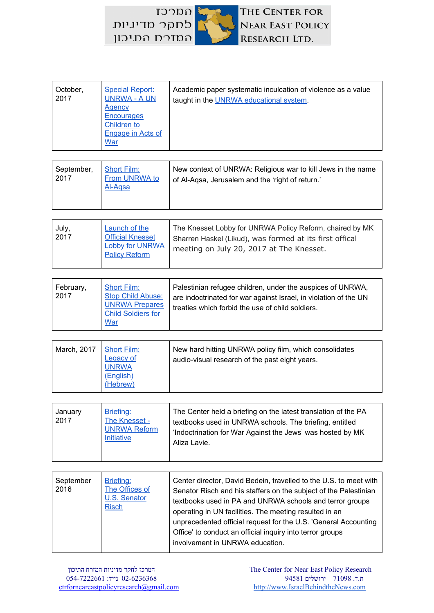THE CENTER FOR **NEAR EAST POLICY** RESEARCH LTD.

| <b>Special Report:</b><br>October,<br><b>UNRWA - A UN</b><br>2017<br>Agency<br><b>Encourages</b><br>Children to<br>Engage in Acts of<br>War | Academic paper systematic inculcation of violence as a value<br>taught in the UNRWA educational system. |
|---------------------------------------------------------------------------------------------------------------------------------------------|---------------------------------------------------------------------------------------------------------|
|---------------------------------------------------------------------------------------------------------------------------------------------|---------------------------------------------------------------------------------------------------------|

| New context of UNRWA: Religious war to kill Jews in the name<br>September,<br><b>Short Film:</b><br>2017<br>From UNRWA to<br>of Al-Agsa, Jerusalem and the 'right of return.'<br>Al-Agsa |  |
|------------------------------------------------------------------------------------------------------------------------------------------------------------------------------------------|--|
|------------------------------------------------------------------------------------------------------------------------------------------------------------------------------------------|--|

| July,<br>2017 | <b>Launch of the</b><br><b>Official Knesset</b><br>Lobby for UNRWA<br><b>Policy Reform</b> | The Knesset Lobby for UNRWA Policy Reform, chaired by MK<br>Sharren Haskel (Likud), was formed at its first offical<br>meeting on July 20, 2017 at The Knesset. |
|---------------|--------------------------------------------------------------------------------------------|-----------------------------------------------------------------------------------------------------------------------------------------------------------------|
|---------------|--------------------------------------------------------------------------------------------|-----------------------------------------------------------------------------------------------------------------------------------------------------------------|

| February,<br>2017 | <b>Short Film:</b><br><b>Stop Child Abuse:</b><br><b>UNRWA Prepares</b><br><b>Child Soldiers for</b><br><b>War</b> | Palestinian refugee children, under the auspices of UNRWA,<br>are indoctrinated for war against Israel, in violation of the UN<br>treaties which forbid the use of child soldiers. |
|-------------------|--------------------------------------------------------------------------------------------------------------------|------------------------------------------------------------------------------------------------------------------------------------------------------------------------------------|
|-------------------|--------------------------------------------------------------------------------------------------------------------|------------------------------------------------------------------------------------------------------------------------------------------------------------------------------------|

| March, 2017<br><b>Short Film:</b><br><b>Legacy of</b><br><b>UNRWA</b><br>(English)<br>(Hebrew) |
|------------------------------------------------------------------------------------------------|
|------------------------------------------------------------------------------------------------|

| January<br>2017 |
|-----------------|
|-----------------|

| September<br>2016 | Briefing:<br>The Offices of<br>U.S. Senator<br><b>Risch</b> | Center director, David Bedein, travelled to the U.S. to meet with<br>Senator Risch and his staffers on the subject of the Palestinian<br>textbooks used in PA and UNRWA schools and terror groups<br>operating in UN facilities. The meeting resulted in an<br>unprecedented official request for the U.S. 'General Accounting<br>Office' to conduct an official inquiry into terror groups<br>involvement in UNRWA education. |
|-------------------|-------------------------------------------------------------|--------------------------------------------------------------------------------------------------------------------------------------------------------------------------------------------------------------------------------------------------------------------------------------------------------------------------------------------------------------------------------------------------------------------------------|
|-------------------|-------------------------------------------------------------|--------------------------------------------------------------------------------------------------------------------------------------------------------------------------------------------------------------------------------------------------------------------------------------------------------------------------------------------------------------------------------------------------------------------------------|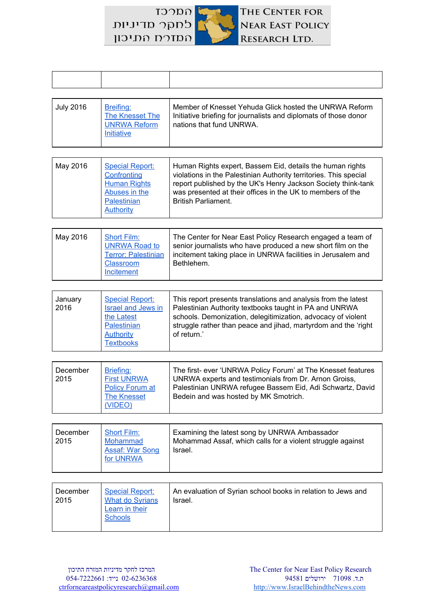לחקר מדיניות המזרח התיכון

 $TOTC$ 



| <b>July 2016</b> | Breifing:<br>The Knesset The<br>UNRWA Reform<br>Initiative | Member of Knesset Yehuda Glick hosted the UNRWA Reform<br>Initiative briefing for journalists and diplomats of those donor<br>nations that fund UNRWA. |
|------------------|------------------------------------------------------------|--------------------------------------------------------------------------------------------------------------------------------------------------------|
|------------------|------------------------------------------------------------|--------------------------------------------------------------------------------------------------------------------------------------------------------|

| May 2016 | <b>Special Report:</b><br>Confronting<br><b>Human Rights</b><br>Abuses in the<br>Palestinian<br>Authority | Human Rights expert, Bassem Eid, details the human rights<br>violations in the Palestinian Authority territories. This special<br>report published by the UK's Henry Jackson Society think-tank<br>was presented at their offices in the UK to members of the<br><b>British Parliament.</b> |
|----------|-----------------------------------------------------------------------------------------------------------|---------------------------------------------------------------------------------------------------------------------------------------------------------------------------------------------------------------------------------------------------------------------------------------------|
|----------|-----------------------------------------------------------------------------------------------------------|---------------------------------------------------------------------------------------------------------------------------------------------------------------------------------------------------------------------------------------------------------------------------------------------|

| May 2016 | <b>Short Film:</b><br>UNRWA Road to<br><b>Terror: Palestinian</b><br><b>Classroom</b><br>Incitement | The Center for Near East Policy Research engaged a team of<br>senior journalists who have produced a new short film on the<br>incitement taking place in UNRWA facilities in Jerusalem and<br>Bethlehem. |
|----------|-----------------------------------------------------------------------------------------------------|----------------------------------------------------------------------------------------------------------------------------------------------------------------------------------------------------------|
|----------|-----------------------------------------------------------------------------------------------------|----------------------------------------------------------------------------------------------------------------------------------------------------------------------------------------------------------|

| January<br>2016 | <b>Special Report:</b><br><b>Israel and Jews in</b><br>the Latest<br>Palestinian<br>Authority | This report presents translations and analysis from the latest<br>Palestinian Authority textbooks taught in PA and UNRWA<br>schools. Demonization, delegitimization, advocacy of violent<br>struggle rather than peace and jihad, martyrdom and the 'right<br>of return.' |
|-----------------|-----------------------------------------------------------------------------------------------|---------------------------------------------------------------------------------------------------------------------------------------------------------------------------------------------------------------------------------------------------------------------------|
|                 | <b>Textbooks</b>                                                                              |                                                                                                                                                                                                                                                                           |

| December<br>Briefing:<br><b>First UNRWA</b><br>2015<br><b>Policy Forum at</b><br><b>The Knesset</b><br>(VIDEO) | The first- ever 'UNRWA Policy Forum' at The Knesset features<br>UNRWA experts and testimonials from Dr. Arnon Groiss,<br>Palestinian UNRWA refugee Bassem Eid, Adi Schwartz, David<br>Bedein and was hosted by MK Smotrich. |
|----------------------------------------------------------------------------------------------------------------|-----------------------------------------------------------------------------------------------------------------------------------------------------------------------------------------------------------------------------|
|----------------------------------------------------------------------------------------------------------------|-----------------------------------------------------------------------------------------------------------------------------------------------------------------------------------------------------------------------------|

| <b>Short Film:</b><br>December<br>2015<br>Mohammad<br><b>Assaf: War Song</b><br>for UNRWA | Examining the latest song by UNRWA Ambassador<br>Mohammad Assaf, which calls for a violent struggle against<br>Israel. |
|-------------------------------------------------------------------------------------------|------------------------------------------------------------------------------------------------------------------------|
|-------------------------------------------------------------------------------------------|------------------------------------------------------------------------------------------------------------------------|

| <b>Special Report:</b><br>December<br><b>What do Syrians</b><br>2015<br>Learn in their<br><b>Schools</b> | An evaluation of Syrian school books in relation to Jews and<br>Israel. |
|----------------------------------------------------------------------------------------------------------|-------------------------------------------------------------------------|
|----------------------------------------------------------------------------------------------------------|-------------------------------------------------------------------------|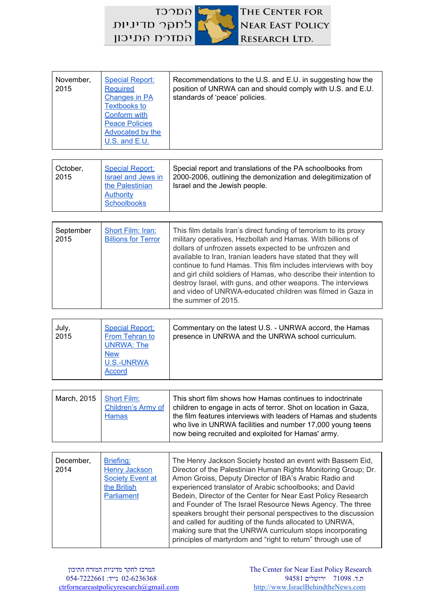| November,<br>2015 | <b>Special Report:</b><br>Required<br><b>Changes in PA</b><br><b>Textbooks to</b><br><b>Conform with</b><br><b>Peace Policies</b><br>Advocated by the<br>U.S. and E.U. | Recommendations to the U.S. and E.U. in suggesting how the<br>position of UNRWA can and should comply with U.S. and E.U.<br>standards of 'peace' policies. |
|-------------------|------------------------------------------------------------------------------------------------------------------------------------------------------------------------|------------------------------------------------------------------------------------------------------------------------------------------------------------|
|-------------------|------------------------------------------------------------------------------------------------------------------------------------------------------------------------|------------------------------------------------------------------------------------------------------------------------------------------------------------|

| <b>Special Report:</b><br>October,<br>2015<br><b>Israel and Jews in</b><br>the Palestinian<br><b>Authority</b><br>Schoolbooks | Special report and translations of the PA schoolbooks from<br>2000-2006, outlining the demonization and delegitimization of<br>Israel and the Jewish people. |
|-------------------------------------------------------------------------------------------------------------------------------|--------------------------------------------------------------------------------------------------------------------------------------------------------------|
|-------------------------------------------------------------------------------------------------------------------------------|--------------------------------------------------------------------------------------------------------------------------------------------------------------|

| September<br>2015 | Short Film: Iran:<br><b>Billions for Terror</b> | This film details Iran's direct funding of terrorism to its proxy<br>military operatives, Hezbollah and Hamas. With billions of<br>dollars of unfrozen assets expected to be unfrozen and<br>available to Iran, Iranian leaders have stated that they will<br>continue to fund Hamas. This film includes interviews with boy<br>and girl child soldiers of Hamas, who describe their intention to<br>destroy Israel, with guns, and other weapons. The interviews<br>and video of UNRWA-educated children was filmed in Gaza in<br>the summer of 2015. |
|-------------------|-------------------------------------------------|--------------------------------------------------------------------------------------------------------------------------------------------------------------------------------------------------------------------------------------------------------------------------------------------------------------------------------------------------------------------------------------------------------------------------------------------------------------------------------------------------------------------------------------------------------|
|                   |                                                 |                                                                                                                                                                                                                                                                                                                                                                                                                                                                                                                                                        |

| July,<br><b>Special Report:</b><br>2015<br>From Tehran to<br><b>UNRWA: The</b><br><b>New</b><br><b>U.S.-UNRWA</b><br><b>Accord</b> | Commentary on the latest U.S. - UNRWA accord, the Hamas<br>presence in UNRWA and the UNRWA school curriculum. |
|------------------------------------------------------------------------------------------------------------------------------------|---------------------------------------------------------------------------------------------------------------|
|------------------------------------------------------------------------------------------------------------------------------------|---------------------------------------------------------------------------------------------------------------|

| March, 2015<br>Short Film:<br><b>Hamas</b> | This short film shows how Hamas continues to indoctrinate<br>Children's Army of   children to engage in acts of terror. Shot on location in Gaza,<br>the film features interviews with leaders of Hamas and students<br>who live in UNRWA facilities and number 17,000 young teens<br>now being recruited and exploited for Hamas' army. |
|--------------------------------------------|------------------------------------------------------------------------------------------------------------------------------------------------------------------------------------------------------------------------------------------------------------------------------------------------------------------------------------------|
|--------------------------------------------|------------------------------------------------------------------------------------------------------------------------------------------------------------------------------------------------------------------------------------------------------------------------------------------------------------------------------------------|

| December,<br>Briefing:<br>2014<br>Henry Jackson<br><b>Society Event at</b><br>the British<br>Parliament | The Henry Jackson Society hosted an event with Bassem Eid,<br>Director of the Palestinian Human Rights Monitoring Group; Dr.<br>Arnon Groiss, Deputy Director of IBA's Arabic Radio and<br>experienced translator of Arabic schoolbooks; and David<br>Bedein, Director of the Center for Near East Policy Research<br>and Founder of The Israel Resource News Agency. The three<br>speakers brought their personal perspectives to the discussion<br>and called for auditing of the funds allocated to UNRWA,<br>making sure that the UNRWA curriculum stops incorporating<br>principles of martyrdom and "right to return" through use of |
|---------------------------------------------------------------------------------------------------------|--------------------------------------------------------------------------------------------------------------------------------------------------------------------------------------------------------------------------------------------------------------------------------------------------------------------------------------------------------------------------------------------------------------------------------------------------------------------------------------------------------------------------------------------------------------------------------------------------------------------------------------------|
|---------------------------------------------------------------------------------------------------------|--------------------------------------------------------------------------------------------------------------------------------------------------------------------------------------------------------------------------------------------------------------------------------------------------------------------------------------------------------------------------------------------------------------------------------------------------------------------------------------------------------------------------------------------------------------------------------------------------------------------------------------------|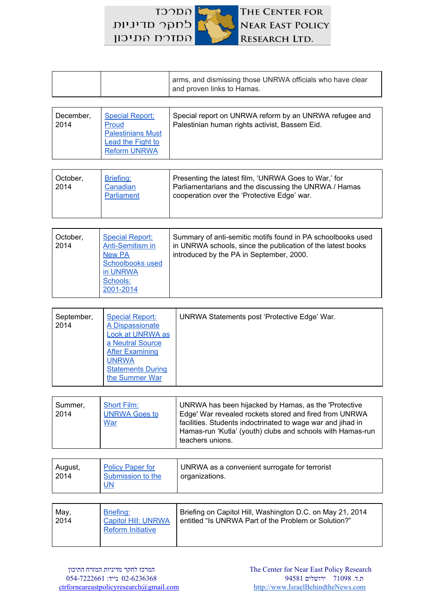$TOTC$ THE CENTER FOR לחקר מדיניות **NEAR EAST POLICY** המזרח התיכון RESEARCH LTD.

|  | arms, and dismissing those UNRWA officials who have clear<br>and proven links to Hamas. |
|--|-----------------------------------------------------------------------------------------|
|--|-----------------------------------------------------------------------------------------|

| December,<br>2014 | <b>Special Report:</b><br>Proud<br><b>Palestinians Must</b><br>Lead the Fight to<br><b>Reform UNRWA</b> | Special report on UNRWA reform by an UNRWA refugee and<br>Palestinian human rights activist, Bassem Eid. |
|-------------------|---------------------------------------------------------------------------------------------------------|----------------------------------------------------------------------------------------------------------|
|                   |                                                                                                         |                                                                                                          |

| October,<br>2014 | Briefing:<br>Canadian<br>Parliament | Presenting the latest film, 'UNRWA Goes to War,' for<br>Parliamentarians and the discussing the UNRWA / Hamas<br>cooperation over the 'Protective Edge' war. |
|------------------|-------------------------------------|--------------------------------------------------------------------------------------------------------------------------------------------------------------|
|                  |                                     |                                                                                                                                                              |

| October,<br>2014 | <b>Special Report:</b><br><b>Anti-Semitism in</b><br>New PA<br><b>Schoolbooks used</b><br>in UNRWA<br>Schools: | Summary of anti-semitic motifs found in PA schoolbooks used<br>in UNRWA schools, since the publication of the latest books<br>introduced by the PA in September, 2000. |
|------------------|----------------------------------------------------------------------------------------------------------------|------------------------------------------------------------------------------------------------------------------------------------------------------------------------|
|                  | 2001-2014                                                                                                      |                                                                                                                                                                        |

| September,<br><b>Special Report:</b><br>2014<br>A Dispassionate<br>Look at UNRWA as<br>a Neutral Source<br><b>After Examining</b><br><b>UNRWA</b><br><b>Statements During</b><br>the Summer War | UNRWA Statements post 'Protective Edge' War. |
|-------------------------------------------------------------------------------------------------------------------------------------------------------------------------------------------------|----------------------------------------------|
|-------------------------------------------------------------------------------------------------------------------------------------------------------------------------------------------------|----------------------------------------------|

| <b>Short Film:</b><br>Summer,<br><b>UNRWA Goes to</b><br>2014<br><b>War</b><br>teachers unions. | UNRWA has been hijacked by Hamas, as the 'Protective<br>Edge' War revealed rockets stored and fired from UNRWA<br>facilities. Students indoctrinated to wage war and jihad in<br>Hamas-run 'Kutla' (youth) clubs and schools with Hamas-run |
|-------------------------------------------------------------------------------------------------|---------------------------------------------------------------------------------------------------------------------------------------------------------------------------------------------------------------------------------------------|
|-------------------------------------------------------------------------------------------------|---------------------------------------------------------------------------------------------------------------------------------------------------------------------------------------------------------------------------------------------|

| August,<br>2014 | <b>Policy Paper for</b><br>Submission to the<br>$UN$ | UNRWA as a convenient surrogate for terrorist<br>organizations. |
|-----------------|------------------------------------------------------|-----------------------------------------------------------------|
|                 |                                                      |                                                                 |

| May,<br>2014 | Briefing:<br><b>Capitol Hill: UNRWA</b><br><b>Reform Initiative</b> | Briefing on Capitol Hill, Washington D.C. on May 21, 2014<br>entitled "Is UNRWA Part of the Problem or Solution?" |
|--------------|---------------------------------------------------------------------|-------------------------------------------------------------------------------------------------------------------|
|              |                                                                     |                                                                                                                   |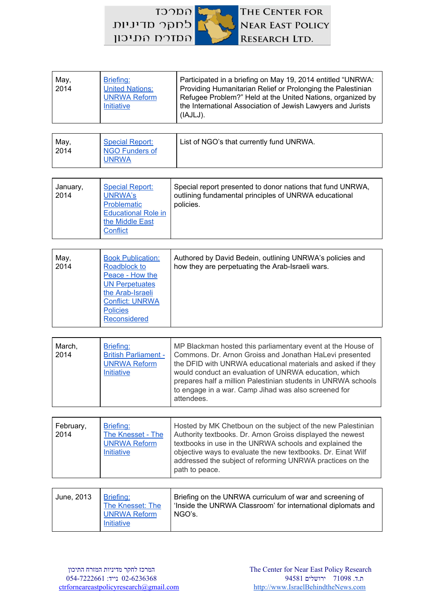$T3200$ THE CENTER FOR לחקר מדיניות NEAR EAST POLICY המזרח התיכון RESEARCH LTD.

| May,<br>2014      | Briefing:<br><b>United Nations:</b><br><b>UNRWA Reform</b><br>Initiative                                                                                              | Participated in a briefing on May 19, 2014 entitled "UNRWA:<br>Providing Humanitarian Relief or Prolonging the Palestinian<br>Refugee Problem?" Held at the United Nations, organized by<br>the International Association of Jewish Lawyers and Jurists<br>(IAJLJ).                                                                                                                   |  |
|-------------------|-----------------------------------------------------------------------------------------------------------------------------------------------------------------------|---------------------------------------------------------------------------------------------------------------------------------------------------------------------------------------------------------------------------------------------------------------------------------------------------------------------------------------------------------------------------------------|--|
|                   |                                                                                                                                                                       |                                                                                                                                                                                                                                                                                                                                                                                       |  |
| May,<br>2014      | <b>Special Report:</b><br><b>NGO Funders of</b><br><b>UNRWA</b>                                                                                                       | List of NGO's that currently fund UNRWA.                                                                                                                                                                                                                                                                                                                                              |  |
|                   |                                                                                                                                                                       |                                                                                                                                                                                                                                                                                                                                                                                       |  |
| January,<br>2014  | <b>Special Report:</b><br><b>UNRWA's</b><br>Problematic<br><b>Educational Role in</b><br>the Middle East<br>Conflict                                                  | Special report presented to donor nations that fund UNRWA,<br>outlining fundamental principles of UNRWA educational<br>policies.                                                                                                                                                                                                                                                      |  |
|                   |                                                                                                                                                                       |                                                                                                                                                                                                                                                                                                                                                                                       |  |
| May,<br>2014      | <b>Book Publication:</b><br>Roadblock to<br>Peace - How the<br><b>UN Perpetuates</b><br>the Arab-Israeli<br><b>Conflict: UNRWA</b><br><b>Policies</b><br>Reconsidered | Authored by David Bedein, outlining UNRWA's policies and<br>how they are perpetuating the Arab-Israeli wars.                                                                                                                                                                                                                                                                          |  |
|                   |                                                                                                                                                                       |                                                                                                                                                                                                                                                                                                                                                                                       |  |
| March,<br>2014    | Briefing:<br><b>British Parliament -</b><br><b>UNRWA Reform</b><br>Initiative                                                                                         | MP Blackman hosted this parliamentary event at the House of<br>Commons. Dr. Arnon Groiss and Jonathan HaLevi presented<br>the DFID with UNRWA educational materials and asked if they<br>would conduct an evaluation of UNRWA education, which<br>prepares half a million Palestinian students in UNRWA schools<br>to engage in a war. Camp Jihad was also screened for<br>attendees. |  |
|                   |                                                                                                                                                                       |                                                                                                                                                                                                                                                                                                                                                                                       |  |
| February,<br>2014 | Briefing:<br>The Knesset - The<br><b>UNRWA Reform</b><br>Initiative                                                                                                   | Hosted by MK Chetboun on the subject of the new Palestinian<br>Authority textbooks. Dr. Arnon Groiss displayed the newest<br>textbooks in use in the UNRWA schools and explained the<br>objective ways to evaluate the new textbooks. Dr. Einat Wilf<br>addressed the subject of reforming UNRWA practices on the<br>path to peace.                                                   |  |
|                   |                                                                                                                                                                       |                                                                                                                                                                                                                                                                                                                                                                                       |  |
| June, 2013        | Briefing:<br>The Knesset: The<br><b>UNRWA Reform</b><br><b>Initiative</b>                                                                                             | Briefing on the UNRWA curriculum of war and screening of<br>'Inside the UNRWA Classroom' for international diplomats and<br>NGO's.                                                                                                                                                                                                                                                    |  |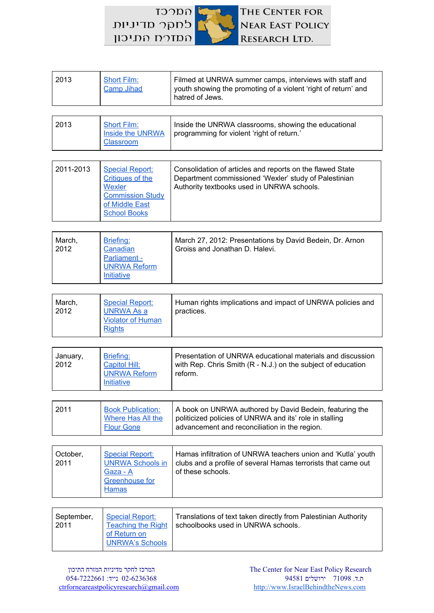לחקר מדיניות המדרח התיכון

COCCT

THE CENTER FOR **NEAR EAST POLICY** RESEARCH LTD.

| 2013               | <b>Short Film:</b><br><b>Camp Jihad</b>                                                                                         | Filmed at UNRWA summer camps, interviews with staff and<br>youth showing the promoting of a violent 'right of return' and<br>hatred of Jews.                        |
|--------------------|---------------------------------------------------------------------------------------------------------------------------------|---------------------------------------------------------------------------------------------------------------------------------------------------------------------|
| 2013               | <b>Short Film:</b><br><b>Inside the UNRWA</b><br><b>Classroom</b>                                                               | Inside the UNRWA classrooms, showing the educational<br>programming for violent 'right of return.'                                                                  |
| 2011-2013          | <b>Special Report:</b><br><b>Critiques of the</b><br>Wexler<br><b>Commission Study</b><br>of Middle East<br><b>School Books</b> | Consolidation of articles and reports on the flawed State<br>Department commissioned 'Wexler' study of Palestinian<br>Authority textbooks used in UNRWA schools.    |
| March,<br>2012     | Briefing:<br>Canadian<br>Parliament -<br><b>UNRWA Reform</b><br>Initiative                                                      | March 27, 2012: Presentations by David Bedein, Dr. Arnon<br>Groiss and Jonathan D. Halevi.                                                                          |
| March,<br>2012     | <b>Special Report:</b><br><b>UNRWA As a</b><br><b>Violator of Human</b><br><b>Rights</b>                                        | Human rights implications and impact of UNRWA policies and<br>practices.                                                                                            |
| January,<br>2012   | Briefing:<br><b>Capitol Hill:</b><br><b>UNRWA Reform</b><br>Initiative                                                          | Presentation of UNRWA educational materials and discussion<br>with Rep. Chris Smith (R - N.J.) on the subject of education<br>reform.                               |
| 2011               | <b>Book Publication:</b><br>Where Has All the<br><b>Flour Gone</b>                                                              | A book on UNRWA authored by David Bedein, featuring the<br>politicized policies of UNRWA and its' role in stalling<br>advancement and reconciliation in the region. |
| October,<br>2011   | <b>Special Report:</b><br><b>UNRWA Schools in</b><br>Gaza - A<br>Greenhouse for<br><b>Hamas</b>                                 | Hamas infiltration of UNRWA teachers union and 'Kutla' youth<br>clubs and a profile of several Hamas terrorists that came out<br>of these schools.                  |
| September,<br>2011 | <b>Special Report:</b><br><b>Teaching the Right</b><br>of Return on                                                             | Translations of text taken directly from Palestinian Authority<br>schoolbooks used in UNRWA schools.                                                                |

ת.ד. 71098 ירושלים 94581 02-6236368 נייד: 054-7222661 [ctrforneareastpolicyresearch@gmail.com](mailto:ctrforneareastpolicyresearch@gmail.com) [http://www.IsraelBehindtheNews.com](http://www.israelbehindthenews.com/)

[UNRWA's](http://israelbehindthenews.com/library/pdfs/RightofReturninUNRWASchools.pdf) Schools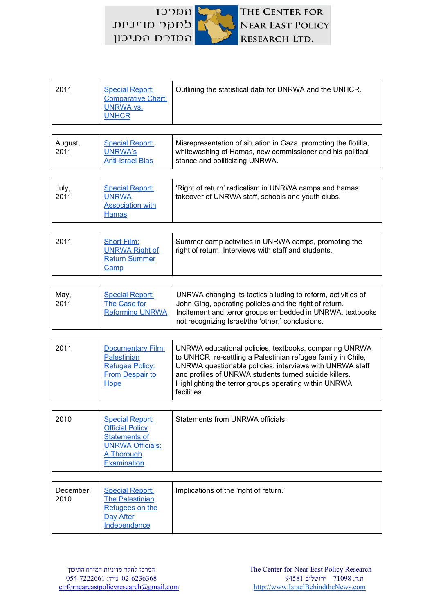$TDDD$ לחקר מדיניות המזרח התיכון



| 2011            | <b>Special Report:</b><br><b>Comparative Chart:</b><br><b>UNRWA vs.</b><br><b>UNHCR</b>                                          | Outlining the statistical data for UNRWA and the UNHCR.                                                                                                                                                                                                                                                              |  |
|-----------------|----------------------------------------------------------------------------------------------------------------------------------|----------------------------------------------------------------------------------------------------------------------------------------------------------------------------------------------------------------------------------------------------------------------------------------------------------------------|--|
|                 |                                                                                                                                  |                                                                                                                                                                                                                                                                                                                      |  |
| August,<br>2011 | <b>Special Report:</b><br><b>UNRWA's</b><br><b>Anti-Israel Bias</b>                                                              | Misrepresentation of situation in Gaza, promoting the flotilla,<br>whitewashing of Hamas, new commissioner and his political<br>stance and politicizing UNRWA.                                                                                                                                                       |  |
|                 |                                                                                                                                  |                                                                                                                                                                                                                                                                                                                      |  |
| July,<br>2011   | <b>Special Report:</b><br><b>UNRWA</b><br><b>Association with</b><br><b>Hamas</b>                                                | 'Right of return' radicalism in UNRWA camps and hamas<br>takeover of UNRWA staff, schools and youth clubs.                                                                                                                                                                                                           |  |
|                 |                                                                                                                                  |                                                                                                                                                                                                                                                                                                                      |  |
| 2011            | <b>Short Film:</b><br><b>UNRWA Right of</b><br><b>Return Summer</b><br>Camp                                                      | Summer camp activities in UNRWA camps, promoting the<br>right of return. Interviews with staff and students.                                                                                                                                                                                                         |  |
|                 |                                                                                                                                  |                                                                                                                                                                                                                                                                                                                      |  |
| May,<br>2011    | <b>Special Report:</b><br>The Case for<br><b>Reforming UNRWA</b>                                                                 | UNRWA changing its tactics alluding to reform, activities of<br>John Ging, operating policies and the right of return.<br>Incitement and terror groups embedded in UNRWA, textbooks<br>not recognizing Israel/the 'other,' conclusions.                                                                              |  |
|                 |                                                                                                                                  |                                                                                                                                                                                                                                                                                                                      |  |
| 2011            | <b>Documentary Film:</b><br><b>Palestinian</b><br><b>Refugee Policy:</b><br><b>From Despair to</b><br>Hope                       | UNRWA educational policies, textbooks, comparing UNRWA<br>to UNHCR, re-settling a Palestinian refugee family in Chile,<br>UNRWA questionable policies, interviews with UNRWA staff<br>and profiles of UNRWA students turned suicide killers.<br>Highlighting the terror groups operating within UNRWA<br>facilities. |  |
|                 |                                                                                                                                  |                                                                                                                                                                                                                                                                                                                      |  |
| 2010            | <b>Special Report:</b><br><b>Official Policy</b><br><b>Statements of</b><br><b>UNRWA Officials:</b><br>A Thorough<br>Examination | Statements from UNRWA officials.                                                                                                                                                                                                                                                                                     |  |
|                 |                                                                                                                                  |                                                                                                                                                                                                                                                                                                                      |  |

| December,<br>2010 | <b>Special Report:</b><br><b>The Palestinian</b><br>Refugees on the<br>Day After<br>Independence | Implications of the 'right of return.' |
|-------------------|--------------------------------------------------------------------------------------------------|----------------------------------------|
|                   |                                                                                                  |                                        |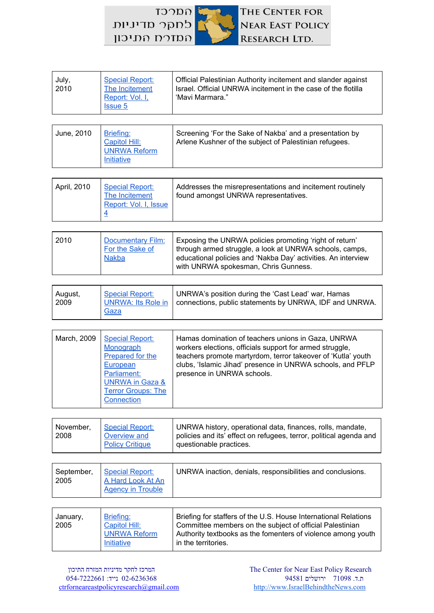$\Omega$ THE CENTER FOR לחקר מדיניות NEAR EAST POLICY המזרח התיכון RESEARCH LTD.

| July,<br>2010 | <b>Special Report:</b><br>The Incitement<br>Report: Vol. I,<br><b>Issue 5</b> | Official Palestinian Authority incitement and slander against<br>Israel. Official UNRWA incitement in the case of the flotilla<br>'Mavi Marmara." |
|---------------|-------------------------------------------------------------------------------|---------------------------------------------------------------------------------------------------------------------------------------------------|
| June, 2010    | Briefing:                                                                     | Screening 'For the Sake of Nakba' and a presentation by                                                                                           |
|               | Capitol Hill:<br><b>UNRWA Reform</b><br>Initiative                            | Arlene Kushner of the subject of Palestinian refugees.                                                                                            |

| April, 2010<br><b>Special Report:</b><br>The Incitement<br>Report: Vol. I, Issue | Addresses the misrepresentations and incitement routinely<br>found amongst UNRWA representatives. |
|----------------------------------------------------------------------------------|---------------------------------------------------------------------------------------------------|
|----------------------------------------------------------------------------------|---------------------------------------------------------------------------------------------------|

| August, | <b>Special Report:</b> | UNRWA's position during the 'Cast Lead' war, Hamas                           |
|---------|------------------------|------------------------------------------------------------------------------|
| 2009    | Gaza                   | UNRWA: Its Role in   connections, public statements by UNRWA, IDF and UNRWA. |

| March, 2009<br>Monograph<br>European<br>Parliament:<br>Connection | <b>Special Report:</b><br>Prepared for the<br><b>UNRWA in Gaza &amp;</b><br><b>Terror Groups: The</b> | Hamas domination of teachers unions in Gaza, UNRWA<br>workers elections, officials support for armed struggle,<br>teachers promote martyrdom, terror takeover of 'Kutla' youth<br>clubs, 'Islamic Jihad' presence in UNRWA schools, and PFLP<br>presence in UNRWA schools. |
|-------------------------------------------------------------------|-------------------------------------------------------------------------------------------------------|----------------------------------------------------------------------------------------------------------------------------------------------------------------------------------------------------------------------------------------------------------------------------|
|-------------------------------------------------------------------|-------------------------------------------------------------------------------------------------------|----------------------------------------------------------------------------------------------------------------------------------------------------------------------------------------------------------------------------------------------------------------------------|

| November,<br><b>Special Report:</b><br>2008<br>Overview and<br><b>Policy Critique</b> | UNRWA history, operational data, finances, rolls, mandate,<br>policies and its' effect on refugees, terror, political agenda and<br>questionable practices. |
|---------------------------------------------------------------------------------------|-------------------------------------------------------------------------------------------------------------------------------------------------------------|
|---------------------------------------------------------------------------------------|-------------------------------------------------------------------------------------------------------------------------------------------------------------|

| September, Special Report:<br>2005<br>A Hard Look At An<br><b>Agency in Trouble</b> | UNRWA inaction, denials, responsibilities and conclusions. |
|-------------------------------------------------------------------------------------|------------------------------------------------------------|
|-------------------------------------------------------------------------------------|------------------------------------------------------------|

| January,<br>2005 | Briefing:<br>Capitol Hill:<br><b>UNRWA Reform</b><br>Initiative | Briefing for staffers of the U.S. House International Relations<br>Committee members on the subject of official Palestinian<br>Authority textbooks as the fomenters of violence among youth<br>in the territories. |
|------------------|-----------------------------------------------------------------|--------------------------------------------------------------------------------------------------------------------------------------------------------------------------------------------------------------------|
|                  |                                                                 |                                                                                                                                                                                                                    |